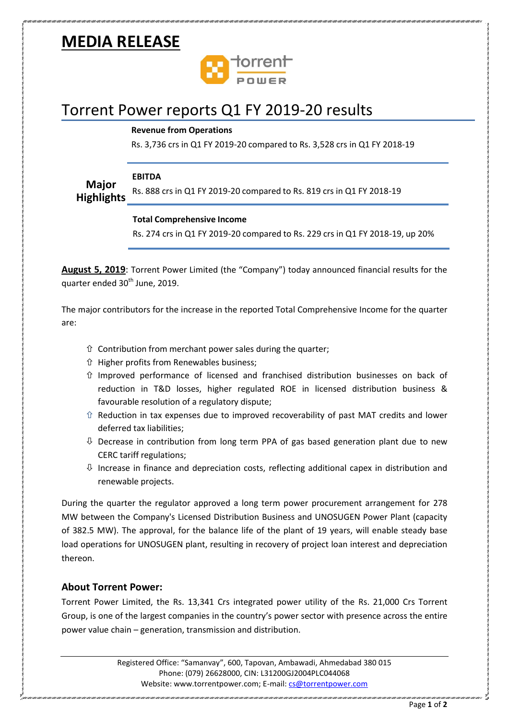# **MEDIA RELEASE**



## Torrent Power reports Q1 FY 2019-20 results

### **Revenue from Operations**

Rs. 3,736 crs in Q1 FY 2019-20 compared to Rs. 3,528 crs in Q1 FY 2018-19

#### **EBITDA**

**Major Highlights** Rs. 888 crs in Q1 FY 2019-20 compared to Rs. 819 crs in Q1 FY 2018-19

#### **Total Comprehensive Income**

Rs. 274 crs in Q1 FY 2019-20 compared to Rs. 229 crs in Q1 FY 2018-19, up 20%

**August 5, 2019**: Torrent Power Limited (the "Company") today announced financial results for the quarter ended 30<sup>th</sup> June, 2019.

The major contributors for the increase in the reported Total Comprehensive Income for the quarter are:

- $\hat{U}$  Contribution from merchant power sales during the quarter;
- Higher profits from Renewables business;
- $\hat{U}$  Improved performance of licensed and franchised distribution businesses on back of reduction in T&D losses, higher regulated ROE in licensed distribution business & favourable resolution of a regulatory dispute;
- $\hat{U}$  Reduction in tax expenses due to improved recoverability of past MAT credits and lower deferred tax liabilities;
- $\theta$  Decrease in contribution from long term PPA of gas based generation plant due to new CERC tariff regulations;
- $\overline{\psi}$  Increase in finance and depreciation costs, reflecting additional capex in distribution and renewable projects.

During the quarter the regulator approved a long term power procurement arrangement for 278 MW between the Company's Licensed Distribution Business and UNOSUGEN Power Plant (capacity of 382.5 MW). The approval, for the balance life of the plant of 19 years, will enable steady base load operations for UNOSUGEN plant, resulting in recovery of project loan interest and depreciation thereon.

### **About Torrent Power:**

Torrent Power Limited, the Rs. 13,341 Crs integrated power utility of the Rs. 21,000 Crs Torrent Group, is one of the largest companies in the country's power sector with presence across the entire power value chain – generation, transmission and distribution.

> Registered Office: "Samanvay", 600, Tapovan, Ambawadi, Ahmedabad 380 015 Phone: (079) 26628000, CIN: L31200GJ2004PLC044068 Website: www.torrentpower.com; E-mail: [cs@torrentpower.com](mailto:cs@torrentpower.com)